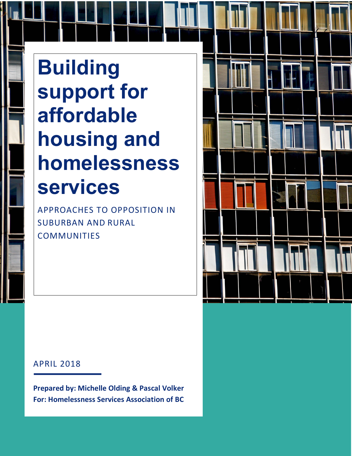# **Building support for affordable housing and homelessness services**

APPROACHES TO OPPOSITION IN SUBURBAN AND RURAL **COMMUNITIES** 



### APRIL 2018

**Prepared by: Michelle Olding & Pascal Volker For: Homelessness Services Association of BC**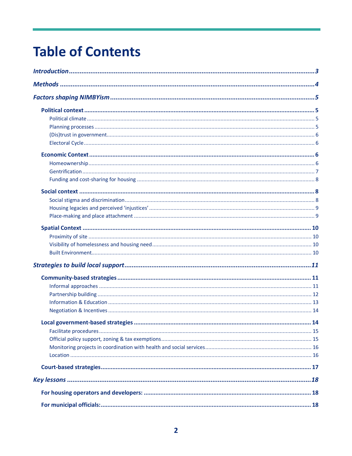## **Table of Contents**

| Local government-based strategies | . 14 |
|-----------------------------------|------|
|                                   |      |
|                                   |      |
|                                   |      |
|                                   |      |
|                                   |      |
|                                   |      |
|                                   |      |
|                                   |      |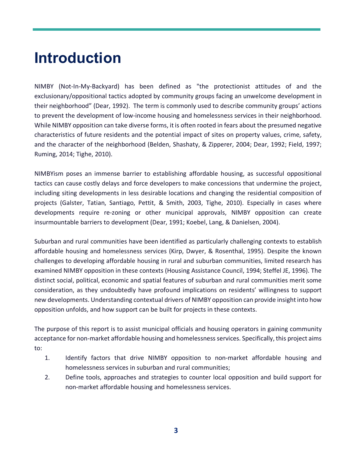## **Introduction**

NIMBY (Not-In-My-Backyard) has been defined as "the protectionist attitudes of and the exclusionary/oppositional tactics adopted by community groups facing an unwelcome development in their neighborhood" (Dear, 1992). The term is commonly used to describe community groups' actions to prevent the development of low-income housing and homelessness services in their neighborhood. While NIMBY opposition can take diverse forms, it is often rooted in fears about the presumed negative characteristics of future residents and the potential impact of sites on property values, crime, safety, and the character of the neighborhood (Belden, Shashaty, & Zipperer, 2004; Dear, 1992; Field, 1997; Ruming, 2014; Tighe, 2010).

NIMBYism poses an immense barrier to establishing affordable housing, as successful oppositional tactics can cause costly delays and force developers to make concessions that undermine the project, including siting developments in less desirable locations and changing the residential composition of projects (Galster, Tatian, Santiago, Pettit, & Smith, 2003, Tighe, 2010). Especially in cases where developments require re-zoning or other municipal approvals, NIMBY opposition can create insurmountable barriers to development (Dear, 1991; Koebel, Lang, & Danielsen, 2004).

Suburban and rural communities have been identified as particularly challenging contexts to establish affordable housing and homelessness services (Kirp, Dwyer, & Rosenthal, 1995). Despite the known challenges to developing affordable housing in rural and suburban communities, limited research has examined NIMBY opposition in these contexts (Housing Assistance Council, 1994; Steffel JE, 1996). The distinct social, political, economic and spatial features of suburban and rural communities merit some consideration, as they undoubtedly have profound implications on residents' willingness to support new developments. Understanding contextual drivers of NIMBY opposition can provide insight into how opposition unfolds, and how support can be built for projects in these contexts.

The purpose of this report is to assist municipal officials and housing operators in gaining community acceptance for non-market affordable housing and homelessness services. Specifically, this project aims to:

- 1. Identify factors that drive NIMBY opposition to non-market affordable housing and homelessness services in suburban and rural communities;
- 2. Define tools, approaches and strategies to counter local opposition and build support for non-market affordable housing and homelessness services.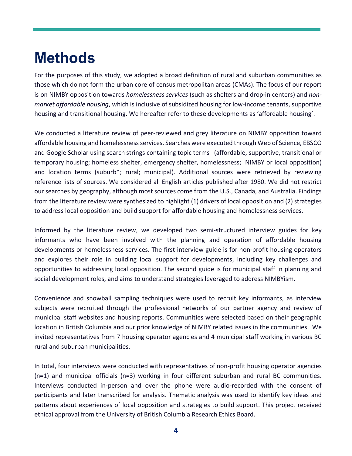## **Methods**

For the purposes of this study, we adopted a broad definition of rural and suburban communities as those which do not form the urban core of census metropolitan areas (CMAs). The focus of our report is on NIMBY opposition towards *homelessness services* (such as shelters and drop-in centers) and *nonmarket affordable housing*, which is inclusive of subsidized housing for low-income tenants, supportive housing and transitional housing. We hereafter refer to these developments as 'affordable housing'.

We conducted a literature review of peer-reviewed and grey literature on NIMBY opposition toward affordable housing and homelessness services. Searches were executed through Web of Science, EBSCO and Google Scholar using search strings containing topic terms (affordable, supportive, transitional or temporary housing; homeless shelter, emergency shelter, homelessness; NIMBY or local opposition) and location terms (suburb<sup>\*</sup>; rural; municipal). Additional sources were retrieved by reviewing reference lists of sources. We considered all English articles published after 1980. We did not restrict our searches by geography, although most sources come from the U.S., Canada, and Australia. Findings from the literature review were synthesized to highlight (1) drivers of local opposition and (2) strategies to address local opposition and build support for affordable housing and homelessness services.

Informed by the literature review, we developed two semi-structured interview guides for key informants who have been involved with the planning and operation of affordable housing developments or homelessness services. The first interview guide is for non-profit housing operators and explores their role in building local support for developments, including key challenges and opportunities to addressing local opposition. The second guide is for municipal staff in planning and social development roles, and aims to understand strategies leveraged to address NIMBYism.

Convenience and snowball sampling techniques were used to recruit key informants, as interview subjects were recruited through the professional networks of our partner agency and review of municipal staff websites and housing reports. Communities were selected based on their geographic location in British Columbia and our prior knowledge of NIMBY related issues in the communities. We invited representatives from 7 housing operator agencies and 4 municipal staff working in various BC rural and suburban municipalities.

In total, four interviews were conducted with representatives of non-profit housing operator agencies (n=1) and municipal officials (n=3) working in four different suburban and rural BC communities. Interviews conducted in-person and over the phone were audio-recorded with the consent of participants and later transcribed for analysis. Thematic analysis was used to identify key ideas and patterns about experiences of local opposition and strategies to build support. This project received ethical approval from the University of British Columbia Research Ethics Board.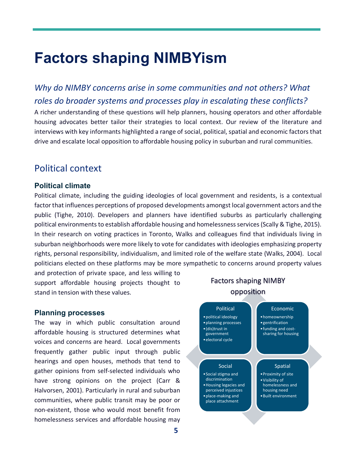## **Factors shaping NIMBYism**

*Why do NIMBY concerns arise in some communities and not others? What roles do broader systems and processes play in escalating these conflicts?*

A richer understanding of these questions will help planners, housing operators and other affordable housing advocates better tailor their strategies to local context. Our review of the literature and interviews with key informants highlighted a range of social, political, spatial and economic factors that drive and escalate local opposition to affordable housing policy in suburban and rural communities.

### Political context

#### **Political climate**

Political climate, including the guiding ideologies of local government and residents, is a contextual factor that influences perceptions of proposed developments amongst local government actors and the public (Tighe, 2010). Developers and planners have identified suburbs as particularly challenging political environments to establish affordable housing and homelessness services (Scally & Tighe, 2015). In their research on voting practices in Toronto, Walks and colleagues find that individuals living in suburban neighborhoods were more likely to vote for candidates with ideologies emphasizing property rights, personal responsibility, individualism, and limited role of the welfare state (Walks, 2004). Local politicians elected on these platforms may be more sympathetic to concerns around property values and protection of private space, and less willing to

support affordable housing projects thought to stand in tension with these values.

#### **Planning processes**

The way in which public consultation around affordable housing is structured determines what voices and concerns are heard. Local governments frequently gather public input through public hearings and open houses, methods that tend to gather opinions from self-selected individuals who have strong opinions on the project (Carr & Halvorsen, 2001). Particularly in rural and suburban communities, where public transit may be poor or non-existent, those who would most benefit from homelessness services and affordable housing may

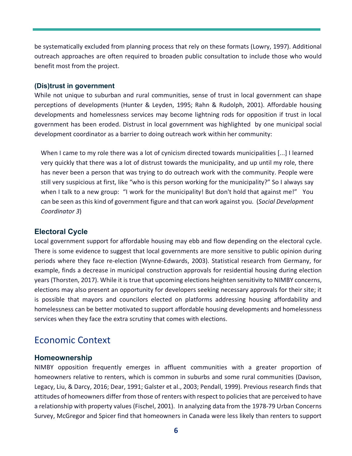be systematically excluded from planning process that rely on these formats (Lowry, 1997). Additional outreach approaches are often required to broaden public consultation to include those who would benefit most from the project.

#### **(Dis)trust in government**

While not unique to suburban and rural communities, sense of trust in local government can shape perceptions of developments (Hunter & Leyden, 1995; Rahn & Rudolph, 2001). Affordable housing developments and homelessness services may become lightning rods for opposition if trust in local government has been eroded. Distrust in local government was highlighted by one municipal social development coordinator as a barrier to doing outreach work within her community:

When I came to my role there was a lot of cynicism directed towards municipalities [...] I learned very quickly that there was a lot of distrust towards the municipality, and up until my role, there has never been a person that was trying to do outreach work with the community. People were still very suspicious at first, like "who is this person working for the municipality?" So I always say when I talk to a new group: "I work for the municipality! But don't hold that against me!" You can be seen as this kind of government figure and that can work against you. (*Social Development Coordinator 3*)

#### **Electoral Cycle**

Local government support for affordable housing may ebb and flow depending on the electoral cycle. There is some evidence to suggest that local governments are more sensitive to public opinion during periods where they face re-election (Wynne-Edwards, 2003). Statistical research from Germany, for example, finds a decrease in municipal construction approvals for residential housing during election years (Thorsten, 2017). While it is true that upcoming elections heighten sensitivity to NIMBY concerns, elections may also present an opportunity for developers seeking necessary approvals for their site; it is possible that mayors and councilors elected on platforms addressing housing affordability and homelessness can be better motivated to support affordable housing developments and homelessness services when they face the extra scrutiny that comes with elections.

### Economic Context

#### **Homeownership**

NIMBY opposition frequently emerges in affluent communities with a greater proportion of homeowners relative to renters, which is common in suburbs and some rural communities (Davison, Legacy, Liu, & Darcy, 2016; Dear, 1991; Galster et al., 2003; Pendall, 1999). Previous research finds that attitudes of homeowners differ from those of renters with respect to policies that are perceived to have a relationship with property values (Fischel, 2001). In analyzing data from the 1978-79 Urban Concerns Survey, McGregor and Spicer find that homeowners in Canada were less likely than renters to support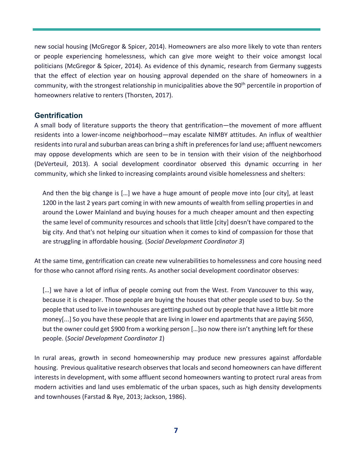new social housing (McGregor & Spicer, 2014). Homeowners are also more likely to vote than renters or people experiencing homelessness, which can give more weight to their voice amongst local politicians (McGregor & Spicer, 2014). As evidence of this dynamic, research from Germany suggests that the effect of election year on housing approval depended on the share of homeowners in a community, with the strongest relationship in municipalities above the 90<sup>th</sup> percentile in proportion of homeowners relative to renters (Thorsten, 2017).

#### **Gentrification**

A small body of literature supports the theory that gentrification—the movement of more affluent residents into a lower-income neighborhood—may escalate NIMBY attitudes. An influx of wealthier residents into rural and suburban areas can bring a shift in preferences for land use; affluent newcomers may oppose developments which are seen to be in tension with their vision of the neighborhood (DeVerteuil, 2013). A social development coordinator observed this dynamic occurring in her community, which she linked to increasing complaints around visible homelessness and shelters:

And then the big change is […] we have a huge amount of people move into [our city], at least 1200 in the last 2 years part coming in with new amounts of wealth from selling properties in and around the Lower Mainland and buying houses for a much cheaper amount and then expecting the same level of community resources and schools that little [city] doesn't have compared to the big city. And that's not helping our situation when it comes to kind of compassion for those that are struggling in affordable housing. (*Social Development Coordinator 3*)

At the same time, gentrification can create new vulnerabilities to homelessness and core housing need for those who cannot afford rising rents. As another social development coordinator observes:

[...] we have a lot of influx of people coming out from the West. From Vancouver to this way, because it is cheaper. Those people are buying the houses that other people used to buy. So the people that used to live in townhouses are getting pushed out by people that have a little bit more money[...] So you have these people that are living in lower end apartments that are paying \$650, but the owner could get \$900 from a working person […]so now there isn't anything left for these people. (*Social Development Coordinator 1*)

In rural areas, growth in second homeownership may produce new pressures against affordable housing. Previous qualitative research observes that locals and second homeowners can have different interests in development, with some affluent second homeowners wanting to protect rural areas from modern activities and land uses emblematic of the urban spaces, such as high density developments and townhouses (Farstad & Rye, 2013; Jackson, 1986).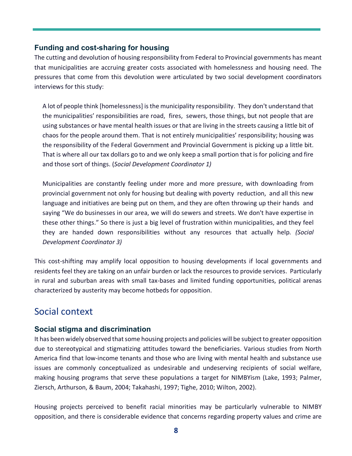#### **Funding and cost-sharing for housing**

The cutting and devolution of housing responsibility from Federal to Provincial governments has meant that municipalities are accruing greater costs associated with homelessness and housing need. The pressures that come from this devolution were articulated by two social development coordinators interviews for this study:

A lot of people think [homelessness] is the municipality responsibility. They don't understand that the municipalities' responsibilities are road, fires, sewers, those things, but not people that are using substances or have mental health issues or that are living in the streets causing a little bit of chaos for the people around them. That is not entirely municipalities' responsibility; housing was the responsibility of the Federal Government and Provincial Government is picking up a little bit. That is where all our tax dollars go to and we only keep a small portion that is for policing and fire and those sort of things. (*Social Development Coordinator 1)*

Municipalities are constantly feeling under more and more pressure, with downloading from provincial government not only for housing but dealing with poverty reduction, and all this new language and initiatives are being put on them, and they are often throwing up their hands and saying "We do businesses in our area, we will do sewers and streets. We don't have expertise in these other things." So there is just a big level of frustration within municipalities, and they feel they are handed down responsibilities without any resources that actually help. *(Social Development Coordinator 3)*

This cost-shifting may amplify local opposition to housing developments if local governments and residents feel they are taking on an unfair burden or lack the resources to provide services. Particularly in rural and suburban areas with small tax-bases and limited funding opportunities, political arenas characterized by austerity may become hotbeds for opposition.

### Social context

#### **Social stigma and discrimination**

It has been widely observed that some housing projects and policies will be subject to greater opposition due to stereotypical and stigmatizing attitudes toward the beneficiaries. Various studies from North America find that low-income tenants and those who are living with mental health and substance use issues are commonly conceptualized as undesirable and undeserving recipients of social welfare, making housing programs that serve these populations a target for NIMBYism (Lake, 1993; Palmer, Ziersch, Arthurson, & Baum, 2004; Takahashi, 1997; Tighe, 2010; Wilton, 2002).

Housing projects perceived to benefit racial minorities may be particularly vulnerable to NIMBY opposition, and there is considerable evidence that concerns regarding property values and crime are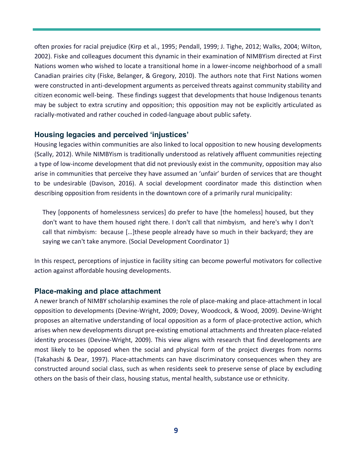often proxies for racial prejudice (Kirp et al., 1995; Pendall, 1999; J. Tighe, 2012; Walks, 2004; Wilton, 2002). Fiske and colleagues document this dynamic in their examination of NIMBYism directed at First Nations women who wished to locate a transitional home in a lower-income neighborhood of a small Canadian prairies city (Fiske, Belanger, & Gregory, 2010). The authors note that First Nations women were constructed in anti-development arguments as perceived threats against community stability and citizen economic well-being. These findings suggest that developments that house Indigenous tenants may be subject to extra scrutiny and opposition; this opposition may not be explicitly articulated as racially-motivated and rather couched in coded-language about public safety.

#### **Housing legacies and perceived 'injustices'**

Housing legacies within communities are also linked to local opposition to new housing developments (Scally, 2012). While NIMBYism is traditionally understood as relatively affluent communities rejecting a type of low-income development that did not previously exist in the community, opposition may also arise in communities that perceive they have assumed an 'unfair' burden of services that are thought to be undesirable (Davison, 2016). A social development coordinator made this distinction when describing opposition from residents in the downtown core of a primarily rural municipality:

They [opponents of homelessness services] do prefer to have [the homeless] housed, but they don't want to have them housed right there. I don't call that nimbyism, and here's why I don't call that nimbyism: because […]these people already have so much in their backyard; they are saying we can't take anymore. (Social Development Coordinator 1)

In this respect, perceptions of injustice in facility siting can become powerful motivators for collective action against affordable housing developments.

#### **Place-making and place attachment**

A newer branch of NIMBY scholarship examines the role of place-making and place-attachment in local opposition to developments (Devine-Wright, 2009; Dovey, Woodcock, & Wood, 2009). Devine-Wright proposes an alternative understanding of local opposition as a form of place-protective action, which arises when new developments disrupt pre-existing emotional attachments and threaten place-related identity processes (Devine-Wright, 2009). This view aligns with research that find developments are most likely to be opposed when the social and physical form of the project diverges from norms (Takahashi & Dear, 1997). Place-attachments can have discriminatory consequences when they are constructed around social class, such as when residents seek to preserve sense of place by excluding others on the basis of their class, housing status, mental health, substance use or ethnicity.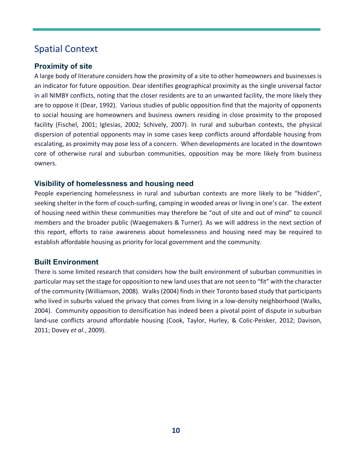## Spatial Context

#### **Proximity of site**

A large body of literature considers how the proximity of a site to other homeowners and businesses is an indicator for future opposition. Dear identifies geographical proximity as the single universal factor in all NIMBY conflicts, noting that the closer residents are to an unwanted facility, the more likely they are to oppose it (Dear, 1992). Various studies of public opposition find that the majority of opponents to social housing are homeowners and business owners residing in close proximity to the proposed facility (Fischel, 2001; Iglesias, 2002; Schively, 2007). In rural and suburban contexts, the physical dispersion of potential opponents may in some cases keep conflicts around affordable housing from escalating, as proximity may pose less of a concern. When developments are located in the downtown core of otherwise rural and suburban communities, opposition may be more likely from business owners.

#### **Visibility of homelessness and housing need**

People experiencing homelessness in rural and suburban contexts are more likely to be "hidden", seeking shelter in the form of couch-surfing, camping in wooded areas or living in one's car. The extent of housing need within these communities may therefore be "out of site and out of mind" to council members and the broader public (Waegemakers & Turner). As we will address in the next section of this report, efforts to raise awareness about homelessness and housing need may be required to establish affordable housing as priority for local government and the community.

#### **Built Environment**

There is some limited research that considers how the built environment of suburban communities in particular may set the stage for opposition to new land uses that are not seen to "fit" with the character of the community (Williamson, 2008). Walks (2004) finds in their Toronto based study that participants who lived in suburbs valued the privacy that comes from living in a low-density neighborhood (Walks, 2004). Community opposition to densification has indeed been a pivotal point of dispute in suburban land-use conflicts around affordable housing (Cook, Taylor, Hurley, & Colic-Peisker, 2012; Davison, 2011; Dovey *et al.*, 2009).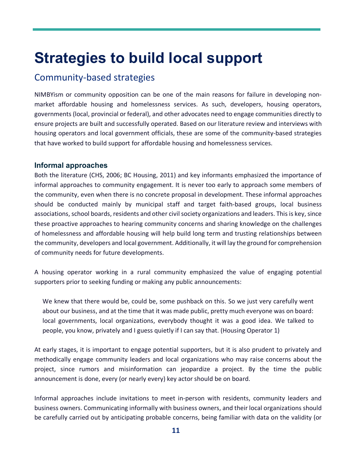## **Strategies to build local support**

### Community-based strategies

NIMBYism or community opposition can be one of the main reasons for failure in developing nonmarket affordable housing and homelessness services. As such, developers, housing operators, governments (local, provincial or federal), and other advocates need to engage communities directly to ensure projects are built and successfully operated. Based on our literature review and interviews with housing operators and local government officials, these are some of the community-based strategies that have worked to build support for affordable housing and homelessness services.

#### **Informal approaches**

Both the literature (CHS, 2006; BC Housing, 2011) and key informants emphasized the importance of informal approaches to community engagement. It is never too early to approach some members of the community, even when there is no concrete proposal in development. These informal approaches should be conducted mainly by municipal staff and target faith-based groups, local business associations, school boards, residents and other civil society organizations and leaders. This is key, since these proactive approaches to hearing community concerns and sharing knowledge on the challenges of homelessness and affordable housing will help build long term and trusting relationships between the community, developers and local government. Additionally, it will lay the ground for comprehension of community needs for future developments.

A housing operator working in a rural community emphasized the value of engaging potential supporters prior to seeking funding or making any public announcements:

We knew that there would be, could be, some pushback on this. So we just very carefully went about our business, and at the time that it was made public, pretty much everyone was on board: local governments, local organizations, everybody thought it was a good idea. We talked to people, you know, privately and I guess quietly if I can say that. (Housing Operator 1)

At early stages, it is important to engage potential supporters, but it is also prudent to privately and methodically engage community leaders and local organizations who may raise concerns about the project, since rumors and misinformation can jeopardize a project. By the time the public announcement is done, every (or nearly every) key actor should be on board.

Informal approaches include invitations to meet in-person with residents, community leaders and business owners. Communicating informally with business owners, and their local organizations should be carefully carried out by anticipating probable concerns, being familiar with data on the validity (or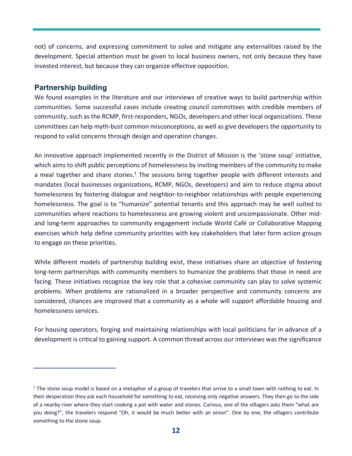not) of concerns, and expressing commitment to solve and mitigate any externalities raised by the development. Special attention must be given to local business owners, not only because they have invested interest, but because they can organize effective opposition.

#### **Partnership building**

We found examples in the literature and our interviews of creative ways to build partnership within communities. Some successful cases include creating council committees with credible members of community, such as the RCMP, first-responders, NGOs, developers and other local organizations. These committees can help myth-bust common misconceptions, as well as give developers the opportunity to respond to valid concerns through design and operation changes.

An innovative approach implemented recently in the District of Mission is the 'stone soup' initiative, which aims to shift public perceptions of homelessness by inviting members of the community to make a meal together and share stories.<sup>1</sup> The sessions bring together people with different interests and mandates (local businesses organizations, RCMP, NGOs, developers) and aim to reduce stigma about homelessness by fostering dialogue and neighbor-to-neighbor relationships with people experiencing homelessness. The goal is to "humanize" potential tenants and this approach may be well suited to communities where reactions to homelessness are growing violent and uncompassionate. Other midand long-term approaches to community engagement include World Café or Collaborative Mapping exercises which help define community priorities with key stakeholders that later form action groups to engage on these priorities.

While different models of partnership building exist, these initiatives share an objective of fostering long-term partnerships with community members to humanize the problems that those in need are facing. These initiatives recognize the key role that a cohesive community can play to solve systemic problems. When problems are rationalized in a broader perspective and community concerns are considered, chances are improved that a community as a whole will support affordable housing and homelessness services.

For housing operators, forging and maintaining relationships with local politicians far in advance of a development is critical to gaining support. A common thread across our interviews was the significance

 $1$  The stone soup model is based on a metaphor of a group of travelers that arrive to a small town with nothing to eat. In their desperation they ask each household for something to eat, receiving only negative answers. They then go to the side of a nearby river where they start cooking a pot with water and stones. Curious, one of the villagers asks them "what are you doing?", the travelers respond "Oh, it would be much better with an onion". One by one, the villagers contribute something to the stone soup.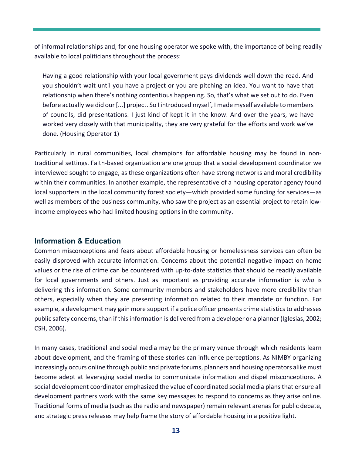of informal relationships and, for one housing operator we spoke with, the importance of being readily available to local politicians throughout the process:

Having a good relationship with your local government pays dividends well down the road. And you shouldn't wait until you have a project or you are pitching an idea. You want to have that relationship when there's nothing contentious happening. So, that's what we set out to do. Even before actually we did our [...] project. So I introduced myself, I made myself available to members of councils, did presentations. I just kind of kept it in the know. And over the years, we have worked very closely with that municipality, they are very grateful for the efforts and work we've done. (Housing Operator 1)

Particularly in rural communities, local champions for affordable housing may be found in nontraditional settings. Faith-based organization are one group that a social development coordinator we interviewed sought to engage, as these organizations often have strong networks and moral credibility within their communities. In another example, the representative of a housing operator agency found local supporters in the local community forest society—which provided some funding for services—as well as members of the business community, who saw the project as an essential project to retain lowincome employees who had limited housing options in the community.

#### **Information & Education**

Common misconceptions and fears about affordable housing or homelessness services can often be easily disproved with accurate information. Concerns about the potential negative impact on home values or the rise of crime can be countered with up-to-date statistics that should be readily available for local governments and others. Just as important as providing accurate information is *who* is delivering this information. Some community members and stakeholders have more credibility than others, especially when they are presenting information related to their mandate or function. For example, a development may gain more support if a police officer presents crime statistics to addresses public safety concerns, than if this information is delivered from a developer or a planner (Iglesias, 2002; CSH, 2006).

In many cases, traditional and social media may be the primary venue through which residents learn about development, and the framing of these stories can influence perceptions. As NIMBY organizing increasingly occurs online through public and private forums, planners and housing operators alike must become adept at leveraging social media to communicate information and dispel misconceptions. A social development coordinator emphasized the value of coordinated social media plans that ensure all development partners work with the same key messages to respond to concerns as they arise online. Traditional forms of media (such as the radio and newspaper) remain relevant arenas for public debate, and strategic press releases may help frame the story of affordable housing in a positive light.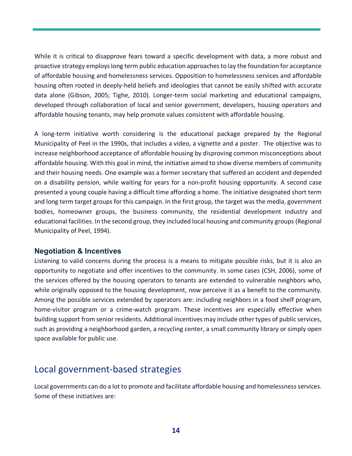While it is critical to disapprove fears toward a specific development with data, a more robust and proactive strategy employs long term public education approaches to lay the foundation for acceptance of affordable housing and homelessness services. Opposition to homelessness services and affordable housing often rooted in deeply-held beliefs and ideologies that cannot be easily shifted with accurate data alone (Gibson, 2005; Tighe, 2010). Longer-term social marketing and educational campaigns, developed through collaboration of local and senior government, developers, housing operators and affordable housing tenants, may help promote values consistent with affordable housing.

A long-term initiative worth considering is the educational package prepared by the Regional Municipality of Peel in the 1990s, that includes a video, a vignette and a poster. The objective was to increase neighborhood acceptance of affordable housing by disproving common misconceptions about affordable housing. With this goal in mind, the initiative aimed to show diverse members of community and their housing needs. One example was a former secretary that suffered an accident and depended on a disability pension, while waiting for years for a non-profit housing opportunity. A second case presented a young couple having a difficult time affording a home. The initiative designated short term and long term target groups for this campaign. In the first group, the target was the media, government bodies, homeowner groups, the business community, the residential development industry and educational facilities. In the second group, they included local housing and community groups (Regional Municipality of Peel, 1994).

#### **Negotiation & Incentives**

Listening to valid concerns during the process is a means to mitigate possible risks, but it is also an opportunity to negotiate and offer incentives to the community. In some cases (CSH, 2006), some of the services offered by the housing operators to tenants are extended to vulnerable neighbors who, while originally opposed to the housing development, now perceive it as a benefit to the community. Among the possible services extended by operators are: including neighbors in a food shelf program, home-visitor program or a crime-watch program. These incentives are especially effective when building support from senior residents. Additional incentives may include other types of public services, such as providing a neighborhood garden, a recycling center, a small community library or simply open space available for public use.

## Local government-based strategies

Local governments can do a lot to promote and facilitate affordable housing and homelessness services. Some of these initiatives are: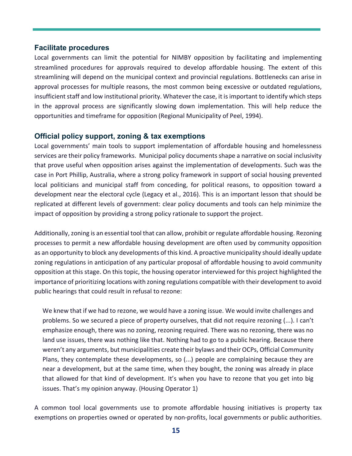#### **Facilitate procedures**

Local governments can limit the potential for NIMBY opposition by facilitating and implementing streamlined procedures for approvals required to develop affordable housing. The extent of this streamlining will depend on the municipal context and provincial regulations. Bottlenecks can arise in approval processes for multiple reasons, the most common being excessive or outdated regulations, insufficient staff and low institutional priority. Whatever the case, it is important to identify which steps in the approval process are significantly slowing down implementation. This will help reduce the opportunities and timeframe for opposition (Regional Municipality of Peel, 1994).

#### **Official policy support, zoning & tax exemptions**

Local governments' main tools to support implementation of affordable housing and homelessness services are their policy frameworks. Municipal policy documents shape a narrative on social inclusivity that prove useful when opposition arises against the implementation of developments. Such was the case in Port Phillip, Australia, where a strong policy framework in support of social housing prevented local politicians and municipal staff from conceding, for political reasons, to opposition toward a development near the electoral cycle (Legacy et al., 2016). This is an important lesson that should be replicated at different levels of government: clear policy documents and tools can help minimize the impact of opposition by providing a strong policy rationale to support the project.

Additionally, zoning is an essential tool that can allow, prohibit or regulate affordable housing. Rezoning processes to permit a new affordable housing development are often used by community opposition as an opportunity to block any developments of this kind. A proactive municipality should ideally update zoning regulations in anticipation of any particular proposal of affordable housing to avoid community opposition at this stage. On this topic, the housing operator interviewed for this project highlighted the importance of prioritizing locations with zoning regulations compatible with their development to avoid public hearings that could result in refusal to rezone:

We knew that if we had to rezone, we would have a zoning issue. We would invite challenges and problems. So we secured a piece of property ourselves, that did not require rezoning (...). I can't emphasize enough, there was no zoning, rezoning required. There was no rezoning, there was no land use issues, there was nothing like that. Nothing had to go to a public hearing. Because there weren't any arguments, but municipalities create their bylaws and their OCPs, Official Community Plans, they contemplate these developments, so (...) people are complaining because they are near a development, but at the same time, when they bought, the zoning was already in place that allowed for that kind of development. It's when you have to rezone that you get into big issues. That's my opinion anyway. (Housing Operator 1)

A common tool local governments use to promote affordable housing initiatives is property tax exemptions on properties owned or operated by non-profits, local governments or public authorities.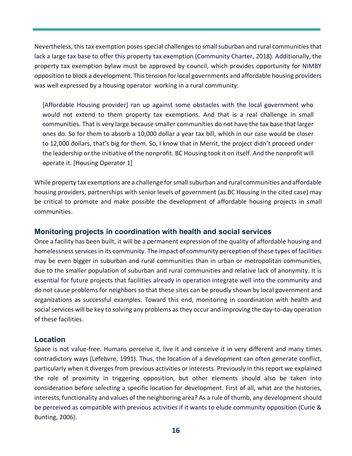Nevertheless, this tax exemption poses special challenges to small suburban and rural communities that lack a large tax base to offer this property tax exemption (Community Charter, 2018). Additionally, the property tax exemption bylaw must be approved by council, which provides opportunity for NIMBY opposition to block a development. This tension for local governments and affordable housing providers was well expressed by a housing operator working in a rural community:

[Affordable Housing provider] ran up against some obstacles with the local government who would not extend to them property tax exemptions. And that is a real challenge in small communities. That is very large because smaller communities do not have the tax base that larger ones do. So for them to absorb a 10,000 dollar a year tax bill, which in our case would be closer to 12,000 dollars, that's big for them. So, I know that in Merrit, the project didn't proceed under the leadership or the initiative of the nonprofit. BC Housing took it on itself. And the nonprofit will operate it. [Housing Operator 1]

While property tax exemptions are a challenge for small suburban and rural communities and affordable housing providers, partnerships with senior levels of government (as BC Housing in the cited case) may be critical to promote and make possible the development of affordable housing projects in small communities.

#### **Monitoring projects in coordination with health and social services**

Once a facility has been built, it will be a permanent expression of the quality of affordable housing and homelessness services in its community. The impact of community perception of these types of facilities may be even bigger in suburban and rural communities than in urban or metropolitan communities, due to the smaller population of suburban and rural communities and relative lack of anonymity. It is essential for future projects that facilities already in operation integrate well into the community and do not cause problems for neighbors so that these sites can be proudly shown by local government and organizations as successful examples. Toward this end, monitoring in coordination with health and social services will be key to solving any problems as they occur and improving the day-to-day operation of these facilities.

#### **Location**

Space is not value-free. Humans perceive it, live it and conceive it in very different and many times contradictory ways (Lefebvre, 1991). Thus, the location of a development can often generate conflict, particularly when it diverges from previous activities or interests. Previously in this report we explained the role of proximity in triggering opposition, but other elements should also be taken into consideration before selecting a specific location for development. First of all, what are the histories, interests, functionality and values of the neighboring area? As a rule of thumb, any development should be perceived as compatible with previous activities if it wants to elude community opposition (Curie & Bunting, 2006).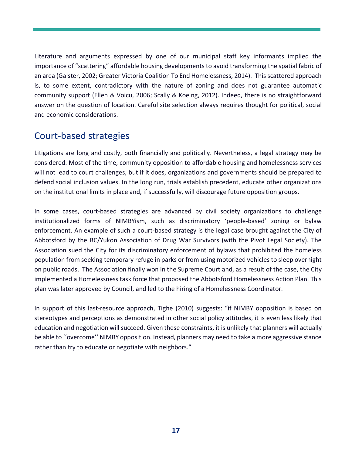Literature and arguments expressed by one of our municipal staff key informants implied the importance of "scattering" affordable housing developments to avoid transforming the spatial fabric of an area (Galster, 2002; Greater Victoria Coalition To End Homelessness, 2014). This scattered approach is, to some extent, contradictory with the nature of zoning and does not guarantee automatic community support (Ellen & Voicu, 2006; Scally & Koeing, 2012). Indeed, there is no straightforward answer on the question of location. Careful site selection always requires thought for political, social and economic considerations.

### Court-based strategies

Litigations are long and costly, both financially and politically. Nevertheless, a legal strategy may be considered. Most of the time, community opposition to affordable housing and homelessness services will not lead to court challenges, but if it does, organizations and governments should be prepared to defend social inclusion values. In the long run, trials establish precedent, educate other organizations on the institutional limits in place and, if successfully, will discourage future opposition groups.

In some cases, court-based strategies are advanced by civil society organizations to challenge institutionalized forms of NIMBYism, such as discriminatory 'people-based' zoning or bylaw enforcement. An example of such a court-based strategy is the legal case brought against the City of Abbotsford by the BC/Yukon Association of Drug War Survivors (with the Pivot Legal Society). The Association sued the City for its discriminatory enforcement of bylaws that prohibited the homeless population from seeking temporary refuge in parks or from using motorized vehicles to sleep overnight on public roads. The Association finally won in the Supreme Court and, as a result of the case, the City implemented a Homelessness task force that proposed the Abbotsford Homelessness Action Plan. This plan was later approved by Council, and led to the hiring of a Homelessness Coordinator.

In support of this last-resource approach, Tighe (2010) suggests: "if NIMBY opposition is based on stereotypes and perceptions as demonstrated in other social policy attitudes, it is even less likely that education and negotiation will succeed. Given these constraints, it is unlikely that planners will actually be able to ''overcome'' NIMBY opposition. Instead, planners may need to take a more aggressive stance rather than try to educate or negotiate with neighbors."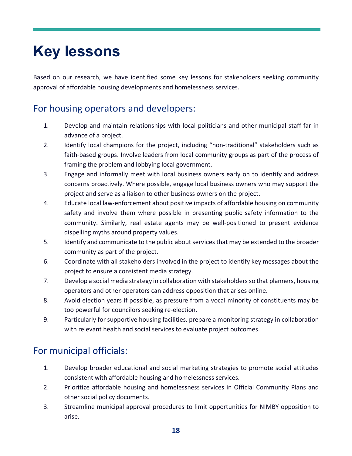## **Key lessons**

Based on our research, we have identified some key lessons for stakeholders seeking community approval of affordable housing developments and homelessness services.

### For housing operators and developers:

- 1. Develop and maintain relationships with local politicians and other municipal staff far in advance of a project.
- 2. Identify local champions for the project, including "non-traditional" stakeholders such as faith-based groups. Involve leaders from local community groups as part of the process of framing the problem and lobbying local government.
- 3. Engage and informally meet with local business owners early on to identify and address concerns proactively. Where possible, engage local business owners who may support the project and serve as a liaison to other business owners on the project.
- 4. Educate local law-enforcement about positive impacts of affordable housing on community safety and involve them where possible in presenting public safety information to the community. Similarly, real estate agents may be well-positioned to present evidence dispelling myths around property values.
- 5. Identify and communicate to the public about services that may be extended to the broader community as part of the project.
- 6. Coordinate with all stakeholders involved in the project to identify key messages about the project to ensure a consistent media strategy.
- 7. Develop a social media strategy in collaboration with stakeholders so that planners, housing operators and other operators can address opposition that arises online.
- 8. Avoid election years if possible, as pressure from a vocal minority of constituents may be too powerful for councilors seeking re-election.
- 9. Particularly for supportive housing facilities, prepare a monitoring strategy in collaboration with relevant health and social services to evaluate project outcomes.

## For municipal officials:

- 1. Develop broader educational and social marketing strategies to promote social attitudes consistent with affordable housing and homelessness services.
- 2. Prioritize affordable housing and homelessness services in Official Community Plans and other social policy documents.
- 3. Streamline municipal approval procedures to limit opportunities for NIMBY opposition to arise.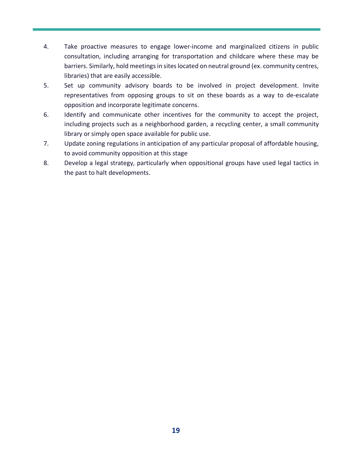- 4. Take proactive measures to engage lower-income and marginalized citizens in public consultation, including arranging for transportation and childcare where these may be barriers. Similarly, hold meetings in sites located on neutral ground (ex. community centres, libraries) that are easily accessible.
- 5. Set up community advisory boards to be involved in project development. Invite representatives from opposing groups to sit on these boards as a way to de-escalate opposition and incorporate legitimate concerns.
- 6. Identify and communicate other incentives for the community to accept the project, including projects such as a neighborhood garden, a recycling center, a small community library or simply open space available for public use.
- 7. Update zoning regulations in anticipation of any particular proposal of affordable housing, to avoid community opposition at this stage
- 8. Develop a legal strategy, particularly when oppositional groups have used legal tactics in the past to halt developments.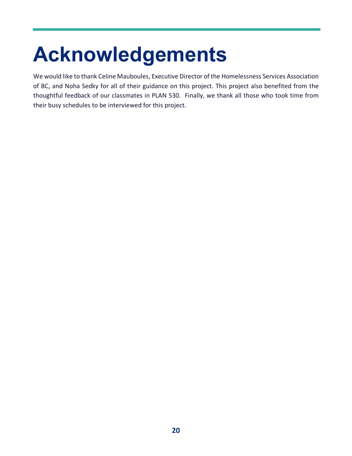# **Acknowledgements**

We would like to thank Celine Mauboules, Executive Director of the Homelessness Services Association of BC, and Noha Sedky for all of their guidance on this project. This project also benefited from the thoughtful feedback of our classmates in PLAN 530. Finally, we thank all those who took time from their busy schedules to be interviewed for this project.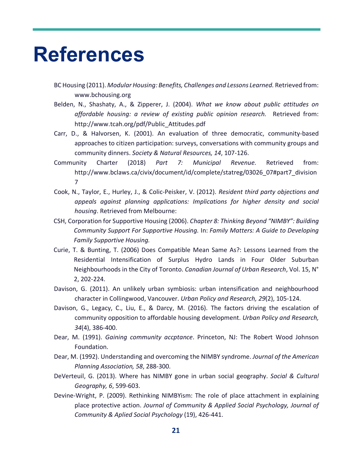## **References**

- BC Housing (2011). *Modular Housing: Benefits, Challenges and Lessons Learned.* Retrieved from: www.bchousing.org
- Belden, N., Shashaty, A., & Zipperer, J. (2004). *What we know about public attitudes on affordable housing: a review of existing public opinion research.* Retrieved from: http://www.tcah.org/pdf/Public\_Attitudes.pdf
- Carr, D., & Halvorsen, K. (2001). An evaluation of three democratic, community-based approaches to citizen participation: surveys, conversations with community groups and community dinners. *Society & Natural Resources, 14*, 107-126.
- Community Charter (2018) *Part 7: Municipal Revenue*. Retrieved from: http://www.bclaws.ca/civix/document/id/complete/statreg/03026\_07#part7\_division 7
- Cook, N., Taylor, E., Hurley, J., & Colic-Peisker, V. (2012). *Resident third party objections and appeals against planning applications: Implications for higher density and social housing*. Retrieved from Melbourne:
- CSH, Corporation for Supportive Housing (2006). *Chapter 8: Thinking Beyond "NIMBY": Building Community Support For Supportive Housing.* In: *Family Matters: A Guide to Developing Family Supportive Housing.*
- Curie, T. & Bunting, T. (2006) Does Compatible Mean Same As?: Lessons Learned from the Residential Intensification of Surplus Hydro Lands in Four Older Suburban Neighbourhoods in the City of Toronto. *Canadian Journal of Urban Research*, Vol. 15, N° 2, 202-224.
- Davison, G. (2011). An unlikely urban symbiosis: urban intensification and neighbourhood character in Collingwood, Vancouver. *Urban Policy and Research, 29*(2), 105-124.
- Davison, G., Legacy, C., Liu, E., & Darcy, M. (2016). The factors driving the escalation of community opposition to affordable housing development. *Urban Policy and Research, 34*(4), 386-400.
- Dear, M. (1991). *Gaining community accptance*. Princeton, NJ: The Robert Wood Johnson Foundation.
- Dear, M. (1992). Understanding and overcoming the NIMBY syndrome. *Journal of the American Planning Association, 58*, 288-300.
- DeVerteuil, G. (2013). Where has NIMBY gone in urban social geography. *Social & Cultural Geography, 6*, 599-603.
- Devine-Wright, P. (2009). Rethinking NIMBYism: The role of place attachment in explaining place protective action. *Journal of Community & Applied Social Psychology, Journal of Community & Aplied Social Psychology* (19), 426-441.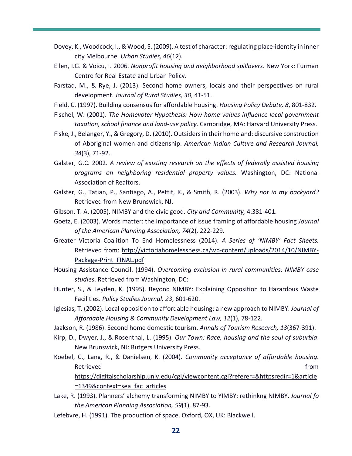- Dovey, K., Woodcock, I., & Wood, S. (2009). A test of character: regulating place-identity in inner city Melbourne. *Urban Studies, 46*(12).
- Ellen, I.G. & Voicu, I. 2006. *Nonprofit housing and neighborhood spillovers*. New York: Furman Centre for Real Estate and Urban Policy.
- Farstad, M., & Rye, J. (2013). Second home owners, locals and their perspectives on rural development. *Journal of Rural Studies, 30*, 41-51.
- Field, C. (1997). Building consensus for affordable housing. *Housing Policy Debate, 8*, 801-832.
- Fischel, W. (2001). *The Homevoter Hypothesis: How home values influence local government taxation, school finance and land-use policy*. Cambridge, MA: Harvard University Press.
- Fiske, J., Belanger, Y., & Gregory, D. (2010). Outsiders in their homeland: discursive construction of Aboriginal women and citizenship. *American Indian Culture and Research Journal, 34*(3), 71-92.
- Galster, G.C. 2002. *A review of existing research on the effects of federally assisted housing programs on neighboring residential property values.* Washington, DC: National Association of Realtors.
- Galster, G., Tatian, P., Santiago, A., Pettit, K., & Smith, R. (2003). *Why not in my backyard?* Retrieved from New Brunswick, NJ.
- Gibson, T. A. (2005). NIMBY and the civic good. *City and Community,* 4:381-401.
- Goetz, E. (2003). Words matter: the importance of issue framing of affordable housing *Journal of the American Planning Association, 74*(2), 222-229.
- Greater Victoria Coalition To End Homelessness (2014). *A Series of 'NIMBY' Fact Sheets.*  Retrieved from: http://victoriahomelessness.ca/wp-content/uploads/2014/10/NIMBY-Package-Print\_FINAL.pdf
- Housing Assistance Council. (1994). *Overcoming exclusion in rural communities: NIMBY case studies*. Retrieved from Washington, DC:
- Hunter, S., & Leyden, K. (1995). Beyond NIMBY: Explaining Opposition to Hazardous Waste Facilities. *Policy Studies Journal, 23*, 601-620.
- Iglesias, T. (2002). Local opposition to affordable housing: a new approach to NIMBY. *Journal of Affordable Housing & Community Development Law, 12*(1), 78-122.
- Jaakson, R. (1986). Second home domestic tourism. *Annals of Tourism Research, 13*(367-391).
- Kirp, D., Dwyer, J., & Rosenthal, L. (1995). *Our Town: Race, housing and the soul of suburbia*. New Brunswick, NJ: Rutgers University Press.
- Koebel, C., Lang, R., & Danielsen, K. (2004). *Community acceptance of affordable housing*. Retrieved **for the contract of the contract of the contract of the contract of the contract of the contract of the contract of the contract of the contract of the contract of the contract of the contract of the contract of** https://digitalscholarship.unlv.edu/cgi/viewcontent.cgi?referer=&httpsredir=1&article =1349&context=sea\_fac\_articles
- Lake, R. (1993). Planners' alchemy transforming NIMBY to YIMBY: rethinkng NIMBY. *Journal fo the American Planning Association, 59*(1), 87-93.
- Lefebvre, H. (1991). The production of space. Oxford, OX, UK: Blackwell.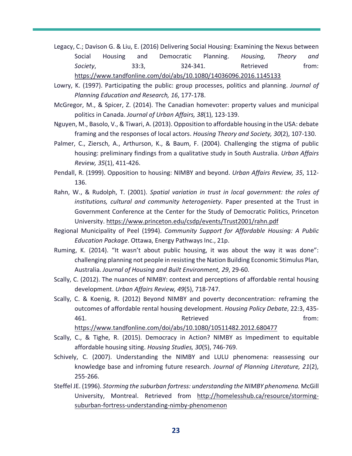- Legacy, C.; Davison G. & Liu, E. (2016) Delivering Social Housing: Examining the Nexus between Social Housing and Democratic Planning. *Housing, Theory and* Society, 33:3, 324-341. Retrieved from: https://www.tandfonline.com/doi/abs/10.1080/14036096.2016.1145133
- Lowry, K. (1997). Participating the public: group processes, politics and planning. *Journal of Planning Education and Research, 16*, 177-178.
- McGregor, M., & Spicer, Z. (2014). The Canadian homevoter: property values and municipal politics in Canada. *Journal of Urban Affairs, 38*(1), 123-139.
- Nguyen, M., Basolo, V., & Tiwari, A. (2013). Opposition to affordable housing in the USA: debate framing and the responses of local actors. *Housing Theory and Society, 30*(2), 107-130.
- Palmer, C., Ziersch, A., Arthurson, K., & Baum, F. (2004). Challenging the stigma of public housing: preliminary findings from a qualitative study in South Australia. *Urban Affairs Review, 35*(1), 411-426.
- Pendall, R. (1999). Opposition to housing: NIMBY and beyond. *Urban Affairs Review, 35*, 112- 136.
- Rahn, W., & Rudolph, T. (2001). *Spatial variation in trust in local government: the roles of institutions, cultural and community heterogeniety*. Paper presented at the Trust in Government Conference at the Center for the Study of Democratic Politics, Princeton University. https://www.princeton.edu/csdp/events/Trust2001/rahn.pdf
- Regional Municipality of Peel (1994). *Community Support for Affordable Housing: A Public Education Package*. Ottawa, Energy Pathways Inc., 21p.
- Ruming, K. (2014). "It wasn't about public housing, it was about the way it was done": challenging planning not people in resisting the Nation Building Economic Stimulus Plan, Australia. *Journal of Housing and Built Environment, 29*, 29-60.
- Scally, C. (2012). The nuances of NIMBY: context and perceptions of affordable rental housing development. *Urban Affairs Review, 49*(5), 718-747.
- Scally, C. & Koenig, R. (2012) Beyond NIMBY and poverty deconcentration: reframing the outcomes of affordable rental housing development. *Housing Policy Debate*, 22:3, 435- Afiler and the settlement of the Retrieved Contract and the settlement of the settlement of the set of the set

https://www.tandfonline.com/doi/abs/10.1080/10511482.2012.680477

- Scally, C., & Tighe, R. (2015). Democracy in Action? NIMBY as Impediment to equitable affordable housing siting. *Housing Studies, 30*(5), 746-769.
- Schively, C. (2007). Understanding the NIMBY and LULU phenomena: reassessing our knowledge base and infroming future research. *Journal of Planning Literature, 21*(2), 255-266.
- Steffel JE. (1996). *Storming the suburban fortress: understanding the NIMBY phenomena.* McGill University, Montreal. Retrieved from http://homelesshub.ca/resource/stormingsuburban-fortress-understanding-nimby-phenomenon